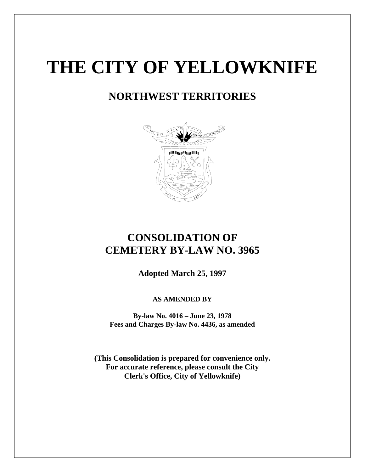# **THE CITY OF YELLOWKNIFE**

# **NORTHWEST TERRITORIES**



## **CONSOLIDATION OF CEMETERY BY-LAW NO. 3965**

**Adopted March 25, 1997**

### **AS AMENDED BY**

**By-law No. 4016 – June 23, 1978 Fees and Charges By-law No. 4436, as amended** 

**(This Consolidation is prepared for convenience only. For accurate reference, please consult the City Clerk's Office, City of Yellowknife)**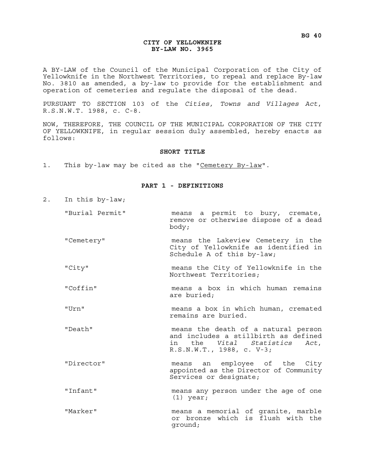#### **CITY OF YELLOWKNIFE BY-LAW NO. 3965**

A BY-LAW of the Council of the Municipal Corporation of the City of Yellowknife in the Northwest Territories, to repeal and replace By-law No. 3810 as amended, a by-law to provide for the establishment and operation of cemeteries and regulate the disposal of the dead.

PURSUANT TO SECTION 103 of the *Cities, Towns and Villages Act*, R.S.N.W.T. 1988, c. C-8.

NOW, THEREFORE, THE COUNCIL OF THE MUNICIPAL CORPORATION OF THE CITY OF YELLOWKNIFE, in regular session duly assembled, hereby enacts as follows:

#### **SHORT TITLE**

1. This by-law may be cited as the "Cemetery By-law".

#### **PART 1 - DEFINITIONS**

- 2. In this by-law;
	- "Burial Permit" means a permit to bury, cremate, remove or otherwise dispose of a dead body;
	- "Cemetery" means the Lakeview Cemetery in the City of Yellowknife as identified in Schedule A of this by-law;
	- "City" means the City of Yellowknife in the Northwest Territories;
	- "Coffin" means a box in which human remains are buried;
	- "Urn" means a box in which human, cremated remains are buried.
	- "Death" means the death of a natural person and includes a stillbirth as defined in the *Vital Statistics Act*, R.S.N.W.T., 1988, c. V-3;
	- "Director" means an employee of the City appointed as the Director of Community Services or designate;
	- "Infant" means any person under the age of one (1) year;
	- "Marker" means a memorial of granite, marble or bronze which is flush with the ground;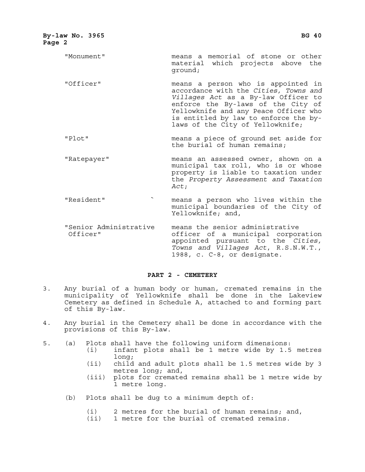| By-law No. 3965<br>Page 2          | <b>BG 40</b>                                                                                                                                                                                                                                                                   |
|------------------------------------|--------------------------------------------------------------------------------------------------------------------------------------------------------------------------------------------------------------------------------------------------------------------------------|
| "Monument"                         | means a memorial of stone or other<br>material which projects above the<br>qround;                                                                                                                                                                                             |
| "Officer"                          | means a person who is appointed in<br>accordance with the Cities, Towns and<br>Villages Act as a By-law Officer to<br>enforce the By-laws of the City of<br>Yellowknife and any Peace Officer who<br>is entitled by law to enforce the by-<br>laws of the City of Yellowknife; |
| "Plot"                             | means a piece of ground set aside for<br>the burial of human remains;                                                                                                                                                                                                          |
| "Ratepayer"                        | means an assessed owner, shown on a<br>municipal tax roll, who is or whose<br>property is liable to taxation under<br>the Property Assessment and Taxation<br>Act;                                                                                                             |
| "Resident"                         | means a person who lives within the<br>municipal boundaries of the City of<br>Yellowknife; and,                                                                                                                                                                                |
| "Senior Administrative<br>Officer" | means the senior administrative<br>officer of a municipal corporation                                                                                                                                                                                                          |

 Officer" officer of a municipal corporation appointed pursuant to the *Cities, Towns and Villages Act*, R.S.N.W.T., 1988, c. C-8, or designate.

#### **PART 2 - CEMETERY**

- 3. Any burial of a human body or human, cremated remains in the municipality of Yellowknife shall be done in the Lakeview Cemetery as defined in Schedule A, attached to and forming part of this By-law.
- 4. Any burial in the Cemetery shall be done in accordance with the provisions of this By-law.
- 5. (a) Plots shall have the following uniform dimensions:
	- (i) infant plots shall be 1 metre wide by 1.5 metres long;
	- (ii) child and adult plots shall be 1.5 metres wide by 3 metres long; and,
	- (iii) plots for cremated remains shall be 1 metre wide by 1 metre long.
	- (b) Plots shall be dug to a minimum depth of:
		- (i) 2 metres for the burial of human remains; and,
		- (ii) 1 metre for the burial of cremated remains.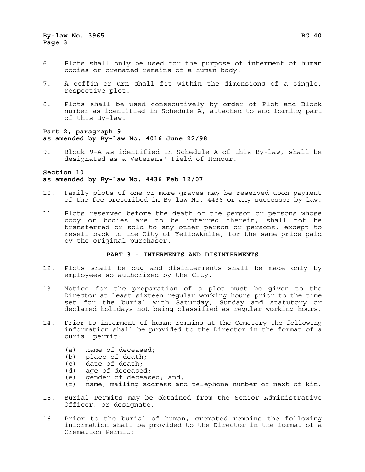- 6. Plots shall only be used for the purpose of interment of human bodies or cremated remains of a human body.
- 7. A coffin or urn shall fit within the dimensions of a single, respective plot.
- 8. Plots shall be used consecutively by order of Plot and Block number as identified in Schedule A, attached to and forming part of this By-law.

#### **Part 2, paragraph 9 as amended by By-law No. 4016 June 22/98**

9. Block 9-A as identified in Schedule A of this By-law, shall be designated as a Veterans' Field of Honour.

#### **Section 10 as amended by By-law No. 4436 Feb 12/07**

- 10. Family plots of one or more graves may be reserved upon payment of the fee prescribed in By-law No. 4436 or any successor by-law.
- 11. Plots reserved before the death of the person or persons whose body or bodies are to be interred therein, shall not be transferred or sold to any other person or persons, except to resell back to the City of Yellowknife, for the same price paid by the original purchaser.

#### **PART 3 - INTERMENTS AND DISINTERMENTS**

- 12. Plots shall be dug and disinterments shall be made only by employees so authorized by the City.
- 13. Notice for the preparation of a plot must be given to the Director at least sixteen regular working hours prior to the time set for the burial with Saturday, Sunday and statutory or declared holidays not being classified as regular working hours.
- 14. Prior to interment of human remains at the Cemetery the following information shall be provided to the Director in the format of a burial permit:
	- (a) name of deceased;
	- (b) place of death;
	- (c) date of death;
	- (d) age of deceased;
	- (e) gender of deceased; and,
	- (f) name, mailing address and telephone number of next of kin.
- 15. Burial Permits may be obtained from the Senior Administrative Officer, or designate.
- 16. Prior to the burial of human, cremated remains the following information shall be provided to the Director in the format of a Cremation Permit: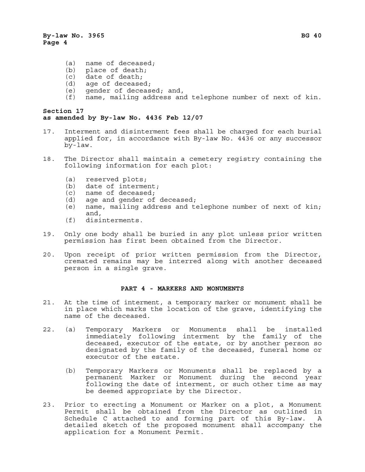- (a) name of deceased;
- (b) place of death;
- (c) date of death;
- (d) age of deceased;
- (e) gender of deceased; and,
- (f) name, mailing address and telephone number of next of kin.

#### **Section 17 as amended by By-law No. 4436 Feb 12/07**

- 17. Interment and disinterment fees shall be charged for each burial applied for, in accordance with By-law No. 4436 or any successor by-law.
- 18. The Director shall maintain a cemetery registry containing the following information for each plot:
	- (a) reserved plots;<br>(b) date of interme
	- date of interment;
	- (c) name of deceased;
	- (d) age and gender of deceased;
	- (e) name, mailing address and telephone number of next of kin; and,
	- (f) disinterments.
- 19. Only one body shall be buried in any plot unless prior written permission has first been obtained from the Director.
- 20. Upon receipt of prior written permission from the Director, cremated remains may be interred along with another deceased person in a single grave.

#### **PART 4 - MARKERS AND MONUMENTS**

- 21. At the time of interment, a temporary marker or monument shall be in place which marks the location of the grave, identifying the name of the deceased.
- 22. (a) Temporary Markers or Monuments shall be installed immediately following interment by the family of the deceased, executor of the estate, or by another person so designated by the family of the deceased, funeral home or executor of the estate.
	- (b) Temporary Markers or Monuments shall be replaced by a permanent Marker or Monument during the second year following the date of interment, or such other time as may be deemed appropriate by the Director.
- 23. Prior to erecting a Monument or Marker on a plot, a Monument Permit shall be obtained from the Director as outlined in Schedule C attached to and forming part of this By-law. A detailed sketch of the proposed monument shall accompany the application for a Monument Permit.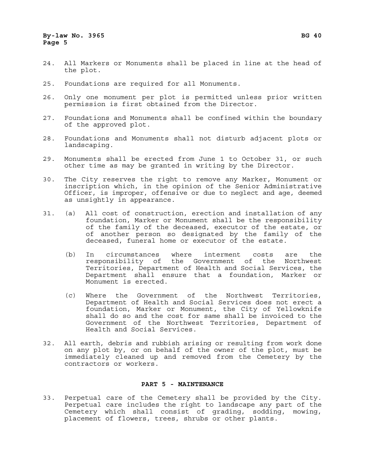- 24. All Markers or Monuments shall be placed in line at the head of the plot.
- 25. Foundations are required for all Monuments.
- 26. Only one monument per plot is permitted unless prior written permission is first obtained from the Director.
- 27. Foundations and Monuments shall be confined within the boundary of the approved plot.
- 28. Foundations and Monuments shall not disturb adjacent plots or landscaping.
- 29. Monuments shall be erected from June 1 to October 31, or such other time as may be granted in writing by the Director.
- 30. The City reserves the right to remove any Marker, Monument or inscription which, in the opinion of the Senior Administrative Officer, is improper, offensive or due to neglect and age, deemed as unsightly in appearance.
- 31. (a) All cost of construction, erection and installation of any foundation, Marker or Monument shall be the responsibility of the family of the deceased, executor of the estate, or of another person so designated by the family of the deceased, funeral home or executor of the estate.
	- (b) In circumstances where interment costs are the responsibility of the Government of the Northwest Territories, Department of Health and Social Services, the Department shall ensure that a foundation, Marker or Monument is erected.
	- (c) Where the Government of the Northwest Territories, Department of Health and Social Services does not erect a foundation, Marker or Monument, the City of Yellowknife shall do so and the cost for same shall be invoiced to the Government of the Northwest Territories, Department of Health and Social Services.
- 32. All earth, debris and rubbish arising or resulting from work done on any plot by, or on behalf of the owner of the plot, must be immediately cleaned up and removed from the Cemetery by the contractors or workers.

#### **PART 5 - MAINTENANCE**

33. Perpetual care of the Cemetery shall be provided by the City. Perpetual care includes the right to landscape any part of the Cemetery which shall consist of grading, sodding, mowing, placement of flowers, trees, shrubs or other plants.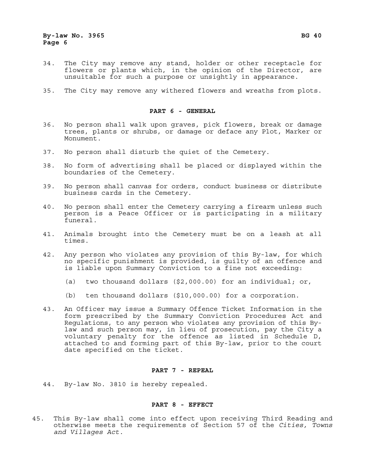- 34. The City may remove any stand, holder or other receptacle for flowers or plants which, in the opinion of the Director, are unsuitable for such a purpose or unsightly in appearance.
- 35. The City may remove any withered flowers and wreaths from plots.

#### **PART 6 - GENERAL**

- 36. No person shall walk upon graves, pick flowers, break or damage trees, plants or shrubs, or damage or deface any Plot, Marker or Monument.
- 37. No person shall disturb the quiet of the Cemetery.
- 38. No form of advertising shall be placed or displayed within the boundaries of the Cemetery.
- 39. No person shall canvas for orders, conduct business or distribute business cards in the Cemetery.
- 40. No person shall enter the Cemetery carrying a firearm unless such person is a Peace Officer or is participating in a military funeral.
- 41. Animals brought into the Cemetery must be on a leash at all times.
- 42. Any person who violates any provision of this By-law, for which no specific punishment is provided, is guilty of an offence and is liable upon Summary Conviction to a fine not exceeding:
	- (a) two thousand dollars (\$2,000.00) for an individual; or,
	- (b) ten thousand dollars (\$10,000.00) for a corporation.
- 43. An Officer may issue a Summary Offence Ticket Information in the form prescribed by the Summary Conviction Procedures Act and Regulations, to any person who violates any provision of this Bylaw and such person may, in lieu of prosecution, pay the City a voluntary penalty for the offence as listed in Schedule D, attached to and forming part of this By-law, prior to the court date specified on the ticket.

#### **PART 7 - REPEAL**

44. By-law No. 3810 is hereby repealed.

#### **PART 8 - EFFECT**

45. This By-law shall come into effect upon receiving Third Reading and otherwise meets the requirements of Section 57 of the *Cities, Towns and Villages Act*.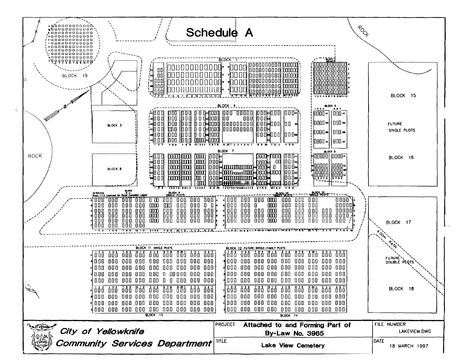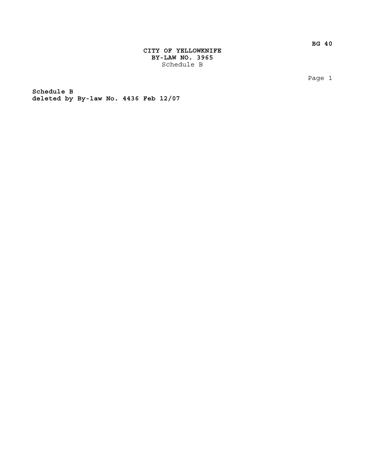**BG 40**

**CITY OF YELLOWKNIFE BY-LAW NO. 3965** Schedule B

Page 1

**Schedule B deleted by By-law No. 4436 Feb 12/07**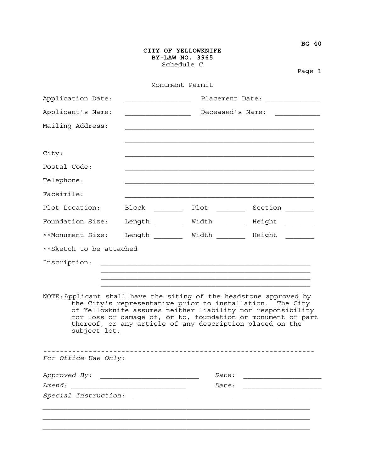|                          |                                                                                         | CITY OF YELLOWKNIFE<br>BY-LAW NO. 3965<br>Schedule C |                                                                                                                                                                                                                                                                                                                            |  |
|--------------------------|-----------------------------------------------------------------------------------------|------------------------------------------------------|----------------------------------------------------------------------------------------------------------------------------------------------------------------------------------------------------------------------------------------------------------------------------------------------------------------------------|--|
|                          |                                                                                         |                                                      | Page 1                                                                                                                                                                                                                                                                                                                     |  |
|                          |                                                                                         | Monument Permit                                      |                                                                                                                                                                                                                                                                                                                            |  |
| Application Date:        | Placement Date: ____________                                                            |                                                      |                                                                                                                                                                                                                                                                                                                            |  |
| Applicant's Name:        | Deceased's Name:<br>$\overline{\phantom{a}}$ . The contract of $\overline{\phantom{a}}$ |                                                      |                                                                                                                                                                                                                                                                                                                            |  |
| Mailing Address:         |                                                                                         |                                                      |                                                                                                                                                                                                                                                                                                                            |  |
| City:                    |                                                                                         |                                                      |                                                                                                                                                                                                                                                                                                                            |  |
| Postal Code:             |                                                                                         |                                                      |                                                                                                                                                                                                                                                                                                                            |  |
| Telephone:               |                                                                                         |                                                      |                                                                                                                                                                                                                                                                                                                            |  |
| Facsimile:               |                                                                                         |                                                      |                                                                                                                                                                                                                                                                                                                            |  |
| Plot Location:           | Block                                                                                   | Plot                                                 | Section <u>___</u>                                                                                                                                                                                                                                                                                                         |  |
| Foundation Size:         |                                                                                         |                                                      | Length ________ Width _______ Height _______                                                                                                                                                                                                                                                                               |  |
| **Monument Size:         |                                                                                         |                                                      | Length ________ Width _______ Height _______                                                                                                                                                                                                                                                                               |  |
| ** Sketch to be attached |                                                                                         |                                                      |                                                                                                                                                                                                                                                                                                                            |  |
| Inscription:             |                                                                                         |                                                      | <u> 1989 - Johann John Stone, markin film ar yn y brenin y brenin y brenin y brenin y brenin y brenin y brenin y</u>                                                                                                                                                                                                       |  |
|                          |                                                                                         |                                                      |                                                                                                                                                                                                                                                                                                                            |  |
| subject lot.             |                                                                                         |                                                      | NOTE: Applicant shall have the siting of the headstone approved by<br>the City's representative prior to installation. The City<br>of Yellowknife assumes neither liability nor responsibility<br>for loss or damage of, or to, foundation or monument or part<br>thereof, or any article of any description placed on the |  |
| For Office Use Only:     |                                                                                         |                                                      |                                                                                                                                                                                                                                                                                                                            |  |
|                          |                                                                                         | <i>Date:</i>                                         |                                                                                                                                                                                                                                                                                                                            |  |
| Amend:                   |                                                                                         | <i>Date:</i>                                         |                                                                                                                                                                                                                                                                                                                            |  |
| Special Instruction:     |                                                                                         |                                                      |                                                                                                                                                                                                                                                                                                                            |  |
|                          |                                                                                         |                                                      |                                                                                                                                                                                                                                                                                                                            |  |
|                          |                                                                                         |                                                      |                                                                                                                                                                                                                                                                                                                            |  |

**BG 40**